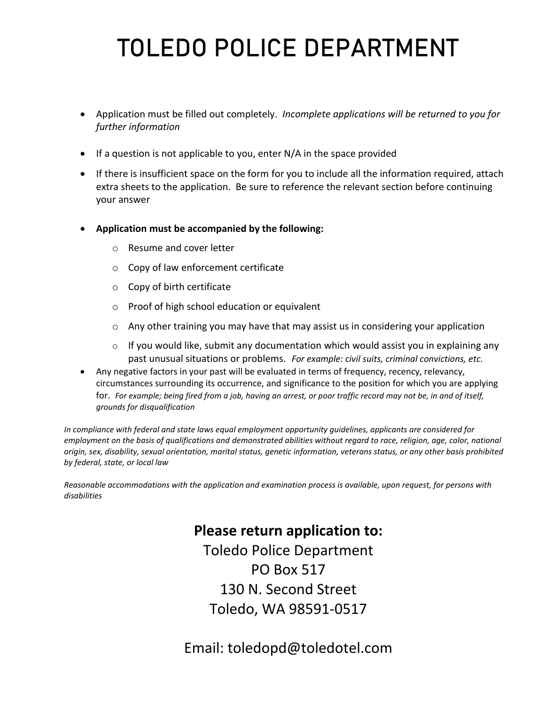# TOLEDO POLICE DEPARTMENT

- Application must be filled out completely. *Incomplete applications will be returned to you for further information*
- If a question is not applicable to you, enter N/A in the space provided
- If there is insufficient space on the form for you to include all the information required, attach extra sheets to the application. Be sure to reference the relevant section before continuing your answer
- **Application must be accompanied by the following:**
	- o Resume and cover letter
	- o Copy of law enforcement certificate
	- o Copy of birth certificate
	- o Proof of high school education or equivalent
	- $\circ$  Any other training you may have that may assist us in considering your application
	- $\circ$  If you would like, submit any documentation which would assist you in explaining any past unusual situations or problems. *For example: civil suits, criminal convictions, etc.*
- Any negative factors in your past will be evaluated in terms of frequency, recency, relevancy, circumstances surrounding its occurrence, and significance to the position for which you are applying for. *For example; being fired from a job, having an arrest, or poor traffic record may not be, in and of itself, grounds for disqualification*

*In compliance with federal and state laws equal employment opportunity guidelines, applicants are considered for employment on the basis of qualifications and demonstrated abilities without regard to race, religion, age, color, national origin, sex, disability, sexual orientation, marital status, genetic information, veterans status, or any other basis prohibited by federal, state, or local law*

*Reasonable accommodations with the application and examination process is available, upon request, for persons with disabilities*

## **Please return application to:**

Toledo Police Department PO Box 517 130 N. Second Street Toledo, WA 98591-0517

Email: toledopd@toledotel.com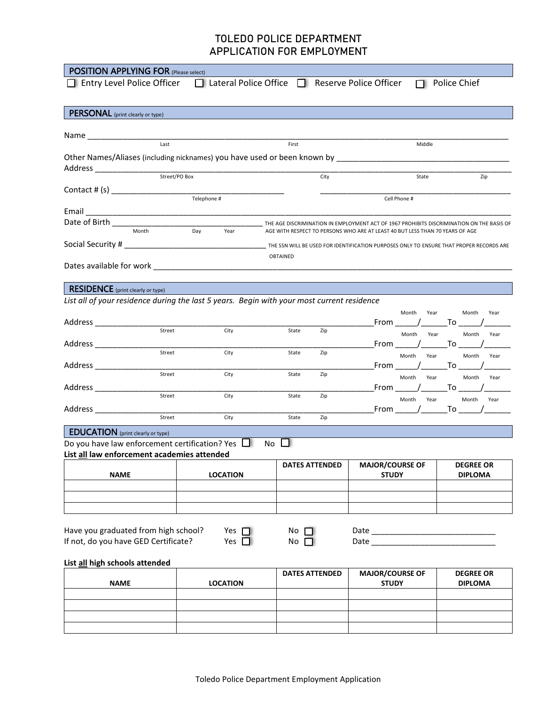| <b>POSITION APPLYING FOR (Please select)</b>                                                      |                   |                                                            |                       |      |                                                                                                                                                                            |                     |
|---------------------------------------------------------------------------------------------------|-------------------|------------------------------------------------------------|-----------------------|------|----------------------------------------------------------------------------------------------------------------------------------------------------------------------------|---------------------|
| $\Box$ Entry Level Police Officer                                                                 |                   | $\Box$ Lateral Police Office $\Box$ Reserve Police Officer |                       |      |                                                                                                                                                                            | $\Box$ Police Chief |
|                                                                                                   |                   |                                                            |                       |      |                                                                                                                                                                            |                     |
| <b>PERSONAL</b> (print clearly or type)                                                           |                   |                                                            |                       |      |                                                                                                                                                                            |                     |
|                                                                                                   |                   |                                                            |                       |      |                                                                                                                                                                            |                     |
| Name ___________________                                                                          | $\overline{Last}$ |                                                            |                       |      |                                                                                                                                                                            |                     |
|                                                                                                   |                   |                                                            | First                 |      | Middle                                                                                                                                                                     |                     |
|                                                                                                   |                   |                                                            |                       |      |                                                                                                                                                                            |                     |
|                                                                                                   |                   |                                                            |                       | City | State                                                                                                                                                                      | Zip                 |
| Contact # (s) __________________                                                                  |                   |                                                            |                       |      |                                                                                                                                                                            |                     |
|                                                                                                   |                   | Telephone #                                                |                       |      | Cell Phone #                                                                                                                                                               |                     |
|                                                                                                   |                   |                                                            |                       |      |                                                                                                                                                                            |                     |
|                                                                                                   | Month             | Day<br>Year                                                |                       |      | THE AGE DISCRIMINATION IN EMPLOYMENT ACT OF 1967 PROHIBITS DISCRIMINATION ON THE BASIS OF<br>AGE WITH RESPECT TO PERSONS WHO ARE AT LEAST 40 BUT LESS THAN 70 YEARS OF AGE |                     |
|                                                                                                   |                   |                                                            |                       |      |                                                                                                                                                                            |                     |
|                                                                                                   |                   |                                                            |                       |      |                                                                                                                                                                            |                     |
|                                                                                                   |                   |                                                            | OBTAINED              |      |                                                                                                                                                                            |                     |
|                                                                                                   |                   |                                                            |                       |      |                                                                                                                                                                            |                     |
| <b>RESIDENCE</b> (print clearly or type)                                                          |                   |                                                            |                       |      |                                                                                                                                                                            |                     |
| List all of your residence during the last 5 years. Begin with your most current residence        |                   |                                                            |                       |      |                                                                                                                                                                            |                     |
|                                                                                                   |                   |                                                            |                       |      | Month<br>Year                                                                                                                                                              | Month<br>Year       |
|                                                                                                   | $5$ treet         | City                                                       | State                 | Zip  | From $/$ To                                                                                                                                                                |                     |
|                                                                                                   |                   |                                                            |                       |      | Month<br>Year                                                                                                                                                              | Month<br>Year       |
|                                                                                                   | Street            | City                                                       | State                 | Zip  | _From _______/ ________ To _______                                                                                                                                         | Month<br>Year       |
|                                                                                                   |                   |                                                            |                       |      | Month<br>Year<br>_From _______/_________To _______                                                                                                                         |                     |
|                                                                                                   | Street            | City                                                       | State                 | Zip  | Month<br>Year                                                                                                                                                              | Month<br>Year       |
| Address _______________                                                                           |                   |                                                            |                       |      | From $\sqrt{ }$ To $\sqrt{ }$                                                                                                                                              |                     |
|                                                                                                   | Street            | City                                                       | State                 | Zip  | Month Year                                                                                                                                                                 | Month<br>Year       |
| Address ______________                                                                            | Street            | City                                                       | State                 | Zip  | _From _____ / ______ To _____ / ___                                                                                                                                        |                     |
|                                                                                                   |                   |                                                            |                       |      |                                                                                                                                                                            |                     |
| <b>EDUCATION</b> (print clearly or type)<br>Do you have law enforcement certification? Yes $\Box$ |                   |                                                            | <b>No</b>             |      |                                                                                                                                                                            |                     |
| List all law enforcement academies attended                                                       |                   |                                                            |                       |      |                                                                                                                                                                            |                     |
|                                                                                                   |                   |                                                            | <b>DATES ATTENDED</b> |      | <b>MAJOR/COURSE OF</b>                                                                                                                                                     | <b>DEGREE OR</b>    |
| <b>NAME</b>                                                                                       |                   | <b>LOCATION</b>                                            |                       |      | <b>STUDY</b>                                                                                                                                                               | <b>DIPLOMA</b>      |
|                                                                                                   |                   |                                                            |                       |      |                                                                                                                                                                            |                     |
|                                                                                                   |                   |                                                            |                       |      |                                                                                                                                                                            |                     |
|                                                                                                   |                   |                                                            |                       |      |                                                                                                                                                                            |                     |
| Have you graduated from high school?                                                              |                   | Yes $\Box$                                                 | No [                  |      |                                                                                                                                                                            |                     |
| If not, do you have GED Certificate?                                                              |                   | Yes $\Box$                                                 | No [                  |      |                                                                                                                                                                            |                     |
|                                                                                                   |                   |                                                            |                       |      |                                                                                                                                                                            |                     |
| List all high schools attended                                                                    |                   |                                                            |                       |      |                                                                                                                                                                            |                     |
|                                                                                                   |                   |                                                            | <b>DATES ATTENDED</b> |      | <b>MAJOR/COURSE OF</b>                                                                                                                                                     | <b>DEGREE OR</b>    |
| <b>NAME</b>                                                                                       |                   | <b>LOCATION</b>                                            |                       |      | <b>STUDY</b>                                                                                                                                                               | <b>DIPLOMA</b>      |
|                                                                                                   |                   |                                                            |                       |      |                                                                                                                                                                            |                     |
|                                                                                                   |                   |                                                            |                       |      |                                                                                                                                                                            |                     |
|                                                                                                   |                   |                                                            |                       |      |                                                                                                                                                                            |                     |
|                                                                                                   |                   |                                                            |                       |      |                                                                                                                                                                            |                     |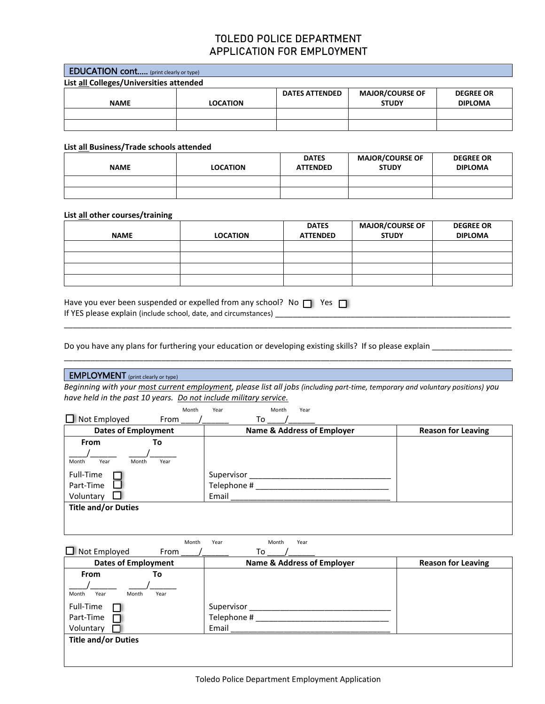| <b>EDUCATION cont</b> (print clearly or type) |                 |                       |                        |                  |
|-----------------------------------------------|-----------------|-----------------------|------------------------|------------------|
| List all Colleges/Universities attended       |                 |                       |                        |                  |
|                                               |                 | <b>DATES ATTENDED</b> | <b>MAJOR/COURSE OF</b> | <b>DEGREE OR</b> |
| <b>NAME</b>                                   | <b>LOCATION</b> |                       | <b>STUDY</b>           | <b>DIPLOMA</b>   |
|                                               |                 |                       |                        |                  |
|                                               |                 |                       |                        |                  |

#### **List all Business/Trade schools attended**

| <b>NAME</b> | <b>LOCATION</b> | <b>DATES</b><br><b>ATTENDED</b> | <b>MAJOR/COURSE OF</b><br><b>STUDY</b> | <b>DEGREE OR</b><br><b>DIPLOMA</b> |
|-------------|-----------------|---------------------------------|----------------------------------------|------------------------------------|
|             |                 |                                 |                                        |                                    |
|             |                 |                                 |                                        |                                    |

#### **List all other courses/training**

|             |                 | <b>DATES</b>    | <b>MAJOR/COURSE OF</b> | <b>DEGREE OR</b> |
|-------------|-----------------|-----------------|------------------------|------------------|
| <b>NAME</b> | <b>LOCATION</b> | <b>ATTENDED</b> | <b>STUDY</b>           | <b>DIPLOMA</b>   |
|             |                 |                 |                        |                  |
|             |                 |                 |                        |                  |
|             |                 |                 |                        |                  |
|             |                 |                 |                        |                  |

\_\_\_\_\_\_\_\_\_\_\_\_\_\_\_\_\_\_\_\_\_\_\_\_\_\_\_\_\_\_\_\_\_\_\_\_\_\_\_\_\_\_\_\_\_\_\_\_\_\_\_\_\_\_\_\_\_\_\_\_\_\_\_\_\_\_\_\_\_\_\_\_\_\_\_\_\_\_\_\_\_\_\_\_\_\_\_\_\_\_\_\_\_\_\_\_\_\_\_\_\_

\_\_\_\_\_\_\_\_\_\_\_\_\_\_\_\_\_\_\_\_\_\_\_\_\_\_\_\_\_\_\_\_\_\_\_\_\_\_\_\_\_\_\_\_\_\_\_\_\_\_\_\_\_\_\_\_\_\_\_\_\_\_\_\_\_\_\_\_\_\_\_\_\_\_\_\_\_\_\_\_\_\_\_\_\_\_\_\_\_\_\_\_\_\_\_\_\_\_\_\_\_

| Have you ever been suspended or expelled from any school? No $\Box$ Yes $\Box$ |  |
|--------------------------------------------------------------------------------|--|
| If YES please explain (include school, date, and circumstances)                |  |

Do you have any plans for furthering your education or developing existing skills? If so please explain \_\_\_\_\_\_\_\_\_\_\_\_\_\_\_

## **EMPLOYMENT** (print clearly or type)

*Beginning with your most current employment, please list all jobs (including part-time, temporary and voluntary positions) you have held in the past 10 years. Do not include military service.*

| Month                          | Month<br>Year<br>Year                 |                           |
|--------------------------------|---------------------------------------|---------------------------|
| $\Box$ Not Employed<br>From    | To                                    |                           |
| <b>Dates of Employment</b>     | <b>Name &amp; Address of Employer</b> | <b>Reason for Leaving</b> |
| From<br>To                     |                                       |                           |
|                                |                                       |                           |
| Month<br>Month<br>Year<br>Year |                                       |                           |
| Full-Time                      | Supervisor                            |                           |
| Part-Time                      | Telephone #                           |                           |
| Voluntary                      | Email                                 |                           |
| <b>Title and/or Duties</b>     |                                       |                           |
|                                |                                       |                           |
|                                |                                       |                           |

Month Year **Month** Year  $\Box$  Not Employed From /  $\Box$  To  $\Box$ 

| <b>Dates of Employment</b>     | <b>Name &amp; Address of Employer</b> | <b>Reason for Leaving</b> |
|--------------------------------|---------------------------------------|---------------------------|
| <b>From</b><br>То              |                                       |                           |
| Month<br>Month<br>Year<br>Year |                                       |                           |
| Full-Time                      | Supervisor                            |                           |
| Part-Time                      | Telephone #                           |                           |
| Voluntary                      | Email                                 |                           |
| <b>Title and/or Duties</b>     |                                       |                           |
|                                |                                       |                           |
|                                |                                       |                           |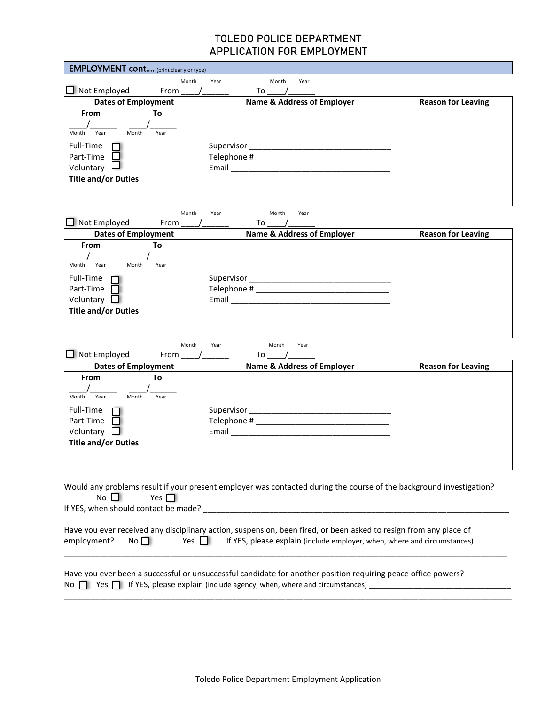| <b>EMPLOYMENT cont</b> (print clearly or type) |                                                                                                                     |                           |
|------------------------------------------------|---------------------------------------------------------------------------------------------------------------------|---------------------------|
| Month                                          | Year<br>Month<br>Year                                                                                               |                           |
| $\Box$ Not Employed<br>From                    | To                                                                                                                  |                           |
| <b>Dates of Employment</b>                     | <b>Name &amp; Address of Employer</b>                                                                               | <b>Reason for Leaving</b> |
| From<br>To                                     |                                                                                                                     |                           |
|                                                |                                                                                                                     |                           |
| Year<br>Month<br>Year<br>Month                 |                                                                                                                     |                           |
| Full-Time                                      |                                                                                                                     |                           |
| Part-Time                                      |                                                                                                                     |                           |
| Voluntary                                      | Email                                                                                                               |                           |
| <b>Title and/or Duties</b>                     |                                                                                                                     |                           |
|                                                |                                                                                                                     |                           |
|                                                |                                                                                                                     |                           |
| Month<br>$\Box$ Not Employed                   | Month<br>Year<br>Year                                                                                               |                           |
| From                                           | To                                                                                                                  |                           |
| <b>Dates of Employment</b><br>From             | <b>Name &amp; Address of Employer</b>                                                                               | <b>Reason for Leaving</b> |
| To                                             |                                                                                                                     |                           |
| Year<br>Month<br>Month<br>Year                 |                                                                                                                     |                           |
| Full-Time                                      |                                                                                                                     |                           |
| Part-Time                                      |                                                                                                                     |                           |
| Voluntary                                      | Email                                                                                                               |                           |
| <b>Title and/or Duties</b>                     |                                                                                                                     |                           |
|                                                |                                                                                                                     |                           |
|                                                |                                                                                                                     |                           |
| Month                                          | Year<br>Month<br>Year                                                                                               |                           |
| Not Employed<br>From                           | To                                                                                                                  |                           |
| <b>Dates of Employment</b>                     | <b>Name &amp; Address of Employer</b>                                                                               | <b>Reason for Leaving</b> |
| <b>From</b><br>To                              |                                                                                                                     |                           |
|                                                |                                                                                                                     |                           |
| Year<br>Month<br>Month<br>Year                 |                                                                                                                     |                           |
| Full-Time                                      |                                                                                                                     |                           |
| Part-Time                                      |                                                                                                                     |                           |
| Voluntary                                      | Email                                                                                                               |                           |
| <b>Title and/or Duties</b>                     |                                                                                                                     |                           |
|                                                |                                                                                                                     |                           |
|                                                |                                                                                                                     |                           |
|                                                |                                                                                                                     |                           |
|                                                | Would any problems result if your present employer was contacted during the course of the background investigation? |                           |
| No $\Box$<br>Yes $\Box$                        |                                                                                                                     |                           |
|                                                |                                                                                                                     |                           |
|                                                |                                                                                                                     |                           |
|                                                | Have you ever received any disciplinary action, suspension, been fired, or been asked to resign from any place of   |                           |
| Yes $\Box$<br>employment?<br>No <sub>1</sub>   | If YES, please explain (include employer, when, where and circumstances)                                            |                           |
|                                                |                                                                                                                     |                           |
|                                                |                                                                                                                     |                           |
|                                                | Have you ever been a successful or unsuccessful candidate for another position requiring peace office powers?       |                           |
|                                                | No $\Box$ Yes $\Box$ If YES, please explain (include agency, when, where and circumstances)                         |                           |

\_\_\_\_\_\_\_\_\_\_\_\_\_\_\_\_\_\_\_\_\_\_\_\_\_\_\_\_\_\_\_\_\_\_\_\_\_\_\_\_\_\_\_\_\_\_\_\_\_\_\_\_\_\_\_\_\_\_\_\_\_\_\_\_\_\_\_\_\_\_\_\_\_\_\_\_\_\_\_\_\_\_\_\_\_\_\_\_\_\_\_\_\_\_\_\_\_\_\_\_\_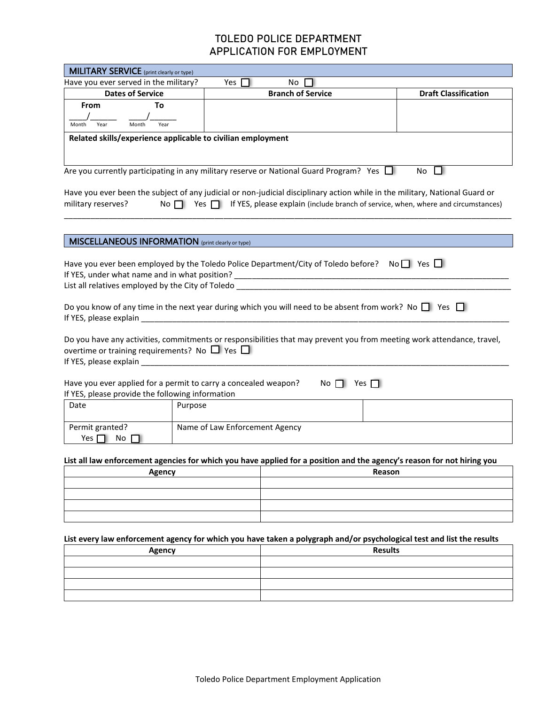| <b>MILITARY SERVICE</b> (print clearly or type)                                                                        |                                |                                                                                               |                                                                                                                                                                                                                                       |
|------------------------------------------------------------------------------------------------------------------------|--------------------------------|-----------------------------------------------------------------------------------------------|---------------------------------------------------------------------------------------------------------------------------------------------------------------------------------------------------------------------------------------|
| Have you ever served in the military?                                                                                  | Yes $\Box$                     | No                                                                                            |                                                                                                                                                                                                                                       |
| <b>Dates of Service</b>                                                                                                |                                | <b>Branch of Service</b>                                                                      | <b>Draft Classification</b>                                                                                                                                                                                                           |
| <b>From</b><br>To                                                                                                      |                                |                                                                                               |                                                                                                                                                                                                                                       |
| Year<br>Year                                                                                                           |                                |                                                                                               |                                                                                                                                                                                                                                       |
| Month<br>Month                                                                                                         |                                |                                                                                               |                                                                                                                                                                                                                                       |
| Related skills/experience applicable to civilian employment                                                            |                                |                                                                                               |                                                                                                                                                                                                                                       |
|                                                                                                                        |                                |                                                                                               |                                                                                                                                                                                                                                       |
|                                                                                                                        |                                | Are you currently participating in any military reserve or National Guard Program? Yes $\Box$ | No.<br>. .                                                                                                                                                                                                                            |
| military reserves?                                                                                                     |                                |                                                                                               | Have you ever been the subject of any judicial or non-judicial disciplinary action while in the military, National Guard or<br>No $\Box$ Yes $\Box$ If YES, please explain (include branch of service, when, where and circumstances) |
|                                                                                                                        |                                |                                                                                               |                                                                                                                                                                                                                                       |
| <b>MISCELLANEOUS INFORMATION</b> (print clearly or type)                                                               |                                |                                                                                               |                                                                                                                                                                                                                                       |
| Have you ever been employed by the Toledo Police Department/City of Toledo before? No $\Box$ Yes $\Box$                |                                |                                                                                               |                                                                                                                                                                                                                                       |
| Do you know of any time in the next year during which you will need to be absent from work? No $\square$ Yes $\square$ |                                |                                                                                               |                                                                                                                                                                                                                                       |
| overtime or training requirements? No $\Box$ Yes $\Box$                                                                |                                |                                                                                               | Do you have any activities, commitments or responsibilities that may prevent you from meeting work attendance, travel,                                                                                                                |
| Have you ever applied for a permit to carry a concealed weapon?<br>If YES, please provide the following information    |                                | $No$ $\Box$<br>Yes $\Box$                                                                     |                                                                                                                                                                                                                                       |
| Date                                                                                                                   | Purpose                        |                                                                                               |                                                                                                                                                                                                                                       |
| Permit granted?<br>Yes $\Box$<br>No                                                                                    | Name of Law Enforcement Agency |                                                                                               |                                                                                                                                                                                                                                       |
| List all law enforcement agencies for which you have applied for a position and the agency's reason for not hiring you |                                |                                                                                               |                                                                                                                                                                                                                                       |
| Reason<br>Agency                                                                                                       |                                |                                                                                               |                                                                                                                                                                                                                                       |
|                                                                                                                        |                                |                                                                                               |                                                                                                                                                                                                                                       |
|                                                                                                                        |                                |                                                                                               |                                                                                                                                                                                                                                       |
|                                                                                                                        |                                |                                                                                               |                                                                                                                                                                                                                                       |
|                                                                                                                        |                                |                                                                                               |                                                                                                                                                                                                                                       |
|                                                                                                                        |                                |                                                                                               |                                                                                                                                                                                                                                       |
|                                                                                                                        |                                |                                                                                               | List every law enforcement agency for which you have taken a polygraph and/or psychological test and list the results                                                                                                                 |
| <b>Results</b><br><b>Agency</b>                                                                                        |                                |                                                                                               |                                                                                                                                                                                                                                       |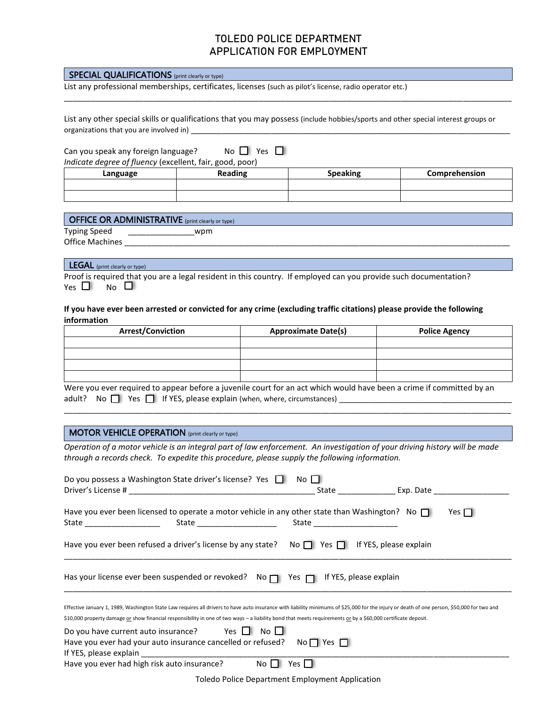| <b>SPECIAL QUALIFICATIONS</b> (print clearly or type)                                                    |                                                                                                                                   |                 |               |  |
|----------------------------------------------------------------------------------------------------------|-----------------------------------------------------------------------------------------------------------------------------------|-----------------|---------------|--|
| List any professional memberships, certificates, licenses (such as pilot's license, radio operator etc.) |                                                                                                                                   |                 |               |  |
|                                                                                                          |                                                                                                                                   |                 |               |  |
|                                                                                                          | List any other special skills or qualifications that you may possess (include hobbies/sports and other special interest groups or |                 |               |  |
| organizations that you are involved in)                                                                  |                                                                                                                                   |                 |               |  |
|                                                                                                          |                                                                                                                                   |                 |               |  |
| Can you speak any foreign language?                                                                      | No $\Box$ Yes $\Box$                                                                                                              |                 |               |  |
| Indicate degree of fluency (excellent, fair, good, poor)                                                 |                                                                                                                                   |                 |               |  |
| Language                                                                                                 | <b>Reading</b>                                                                                                                    | <b>Speaking</b> | Comprehension |  |
|                                                                                                          |                                                                                                                                   |                 |               |  |
|                                                                                                          |                                                                                                                                   |                 |               |  |
|                                                                                                          |                                                                                                                                   |                 |               |  |

|                        | OFFICE OR ADMINISTRATIVE (print clearly or type) |  |
|------------------------|--------------------------------------------------|--|
| <b>Typing Speed</b>    | wpm                                              |  |
| <b>Office Machines</b> |                                                  |  |

#### LEGAL (print clearly or type)

| Proof is required that you are a legal resident in this country. If employed can you provide such documentation? |  |
|------------------------------------------------------------------------------------------------------------------|--|
| Yes $\square$ No $\square$                                                                                       |  |

#### **If you have ever been arrested or convicted for any crime (excluding traffic citations) please provide the following information**

| <b>Arrest/Conviction</b> | <b>Approximate Date(s)</b> | <b>Police Agency</b> |
|--------------------------|----------------------------|----------------------|
|                          |                            |                      |
|                          |                            |                      |
|                          |                            |                      |
|                          |                            |                      |

Were you ever required to appear before a juvenile court for an act which would have been a crime if committed by an adult? No  $\Box$  Yes  $\Box$  If YES, please explain (when, where, circumstances)  $\Box$ 

\_\_\_\_\_\_\_\_\_\_\_\_\_\_\_\_\_\_\_\_\_\_\_\_\_\_\_\_\_\_\_\_\_\_\_\_\_\_\_\_\_\_\_\_\_\_\_\_\_\_\_\_\_\_\_\_\_\_\_\_\_\_\_\_\_\_\_\_\_\_\_\_\_\_\_\_\_\_\_\_\_\_\_\_\_\_\_\_\_\_\_\_\_\_\_\_\_\_\_\_\_

#### MOTOR VEHICLE OPERATION (print clearly or type)

*Operation of a motor vehicle is an integral part of law enforcement. An investigation of your driving history will be made through a records check. To expedite this procedure, please supply the following information.* 

| Do you possess a Washington State driver's license? Yes $\Box$                                                                                                                                                                                                                                                                                               | No II<br>State Exp. Date Exp. 0.14        |  |
|--------------------------------------------------------------------------------------------------------------------------------------------------------------------------------------------------------------------------------------------------------------------------------------------------------------------------------------------------------------|-------------------------------------------|--|
| Have you ever been licensed to operate a motor vehicle in any other state than Washington? No $\Box$                                                                                                                                                                                                                                                         | Yes I I<br>State ________________________ |  |
| Have you ever been refused a driver's license by any state? No $\Box$ Yes $\Box$ If YES, please explain                                                                                                                                                                                                                                                      |                                           |  |
| Has your license ever been suspended or revoked? No n Yes n If YES, please explain                                                                                                                                                                                                                                                                           |                                           |  |
| Effective January 1, 1989, Washington State Law requires all drivers to have auto insurance with liability minimums of \$25,000 for the injury or death of one person, \$50,000 for two and<br>\$10,000 property damage or show financial responsibility in one of two ways - a liability bond that meets requirements or by a \$60,000 certificate deposit. |                                           |  |
| Do you have current auto insurance? Yes $\Box$ No $\Box$<br>Have you ever had your auto insurance cancelled or refused? No $\Box$ Yes $\Box$<br>Have you ever had high risk auto insurance?<br>No l                                                                                                                                                          | Yes I                                     |  |

Toledo Police Department Employment Application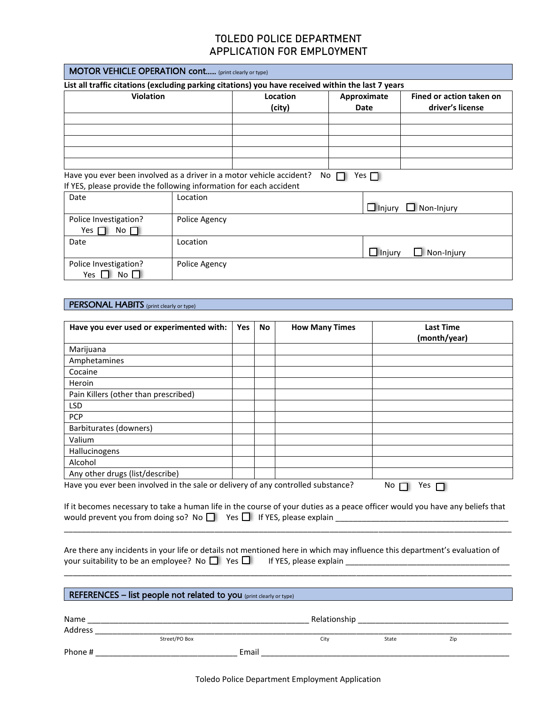| List all traffic citations (excluding parking citations) you have received within the last 7 years |               |                    |           |                     |                                              |
|----------------------------------------------------------------------------------------------------|---------------|--------------------|-----------|---------------------|----------------------------------------------|
| <b>Violation</b>                                                                                   |               | Location<br>(city) |           | Approximate<br>Date | Fined or action taken on<br>driver's license |
| Have you ever been involved as a driver in a motor vehicle accident?                               |               |                    | No $\Box$ | Yes $\Box$          |                                              |
| If YES, please provide the following information for each accident                                 |               |                    |           |                     |                                              |
| Date                                                                                               | Location      |                    |           | $\Box$ Injury       | $\Box$ Non-Injury                            |
| Police Investigation?<br>No $\Box$<br>Yes                                                          | Police Agency |                    |           |                     |                                              |
| Date                                                                                               | Location      |                    |           | $\Box$ Injury       | $\blacksquare$ Non-Injury                    |
| Police Investigation?<br>$NO$ $\parallel$<br>Yes                                                   | Police Agency |                    |           |                     |                                              |

#### PERSONAL HABITS (print clearly or type)

| Have you ever used or experimented with:                                         | Yes | No. | <b>How Many Times</b> | <b>Last Time</b><br>(month/year) |
|----------------------------------------------------------------------------------|-----|-----|-----------------------|----------------------------------|
| Marijuana                                                                        |     |     |                       |                                  |
| Amphetamines                                                                     |     |     |                       |                                  |
| Cocaine                                                                          |     |     |                       |                                  |
| Heroin                                                                           |     |     |                       |                                  |
| Pain Killers (other than prescribed)                                             |     |     |                       |                                  |
| <b>LSD</b>                                                                       |     |     |                       |                                  |
| <b>PCP</b>                                                                       |     |     |                       |                                  |
| Barbiturates (downers)                                                           |     |     |                       |                                  |
| Valium                                                                           |     |     |                       |                                  |
| Hallucinogens                                                                    |     |     |                       |                                  |
| Alcohol                                                                          |     |     |                       |                                  |
| Any other drugs (list/describe)                                                  |     |     |                       |                                  |
| Have you ever been involved in the sale or delivery of any controlled substance? |     |     |                       | No.<br>res                       |

If it becomes necessary to take a human life in the course of your duties as a peace officer would you have any beliefs that would prevent you from doing so? No  $\Box$  Yes  $\Box$  If YES, please explain  $\_\_\_\_\_\_\_\_\_\_\_\_\_\_\_\_\_\_\_\_$ \_\_\_\_\_\_\_\_\_\_\_\_\_\_\_\_\_\_\_\_\_\_\_\_\_\_\_\_\_\_\_\_\_\_\_\_\_\_\_\_\_\_\_\_\_\_\_\_\_\_\_\_\_\_\_\_\_\_\_\_\_\_\_\_\_\_\_\_\_\_\_\_\_\_\_\_\_\_\_\_\_\_\_\_\_\_\_\_\_\_\_\_\_\_\_\_\_\_\_\_\_

|                                                                                 | Are there any incidents in your life or details not mentioned here in which may influence this department's evaluation of |
|---------------------------------------------------------------------------------|---------------------------------------------------------------------------------------------------------------------------|
| your suitability to be an employee? No $\Box$ Yes $\Box$ If YES, please explain |                                                                                                                           |

\_\_\_\_\_\_\_\_\_\_\_\_\_\_\_\_\_\_\_\_\_\_\_\_\_\_\_\_\_\_\_\_\_\_\_\_\_\_\_\_\_\_\_\_\_\_\_\_\_\_\_\_\_\_\_\_\_\_\_\_\_\_\_\_\_\_\_\_\_\_\_\_\_\_\_\_\_\_\_\_\_\_\_\_\_\_\_\_\_\_\_\_\_\_\_\_\_\_\_\_\_

#### REFERENCES – list people not related to you (print clearly or type) **REFERENCES** – list people not related to you

| Name    |               |       | Relationship |       |     |  |
|---------|---------------|-------|--------------|-------|-----|--|
| Address |               |       |              |       |     |  |
|         | Street/PO Box |       | City         | State | Zip |  |
| Phone # |               | Email |              |       |     |  |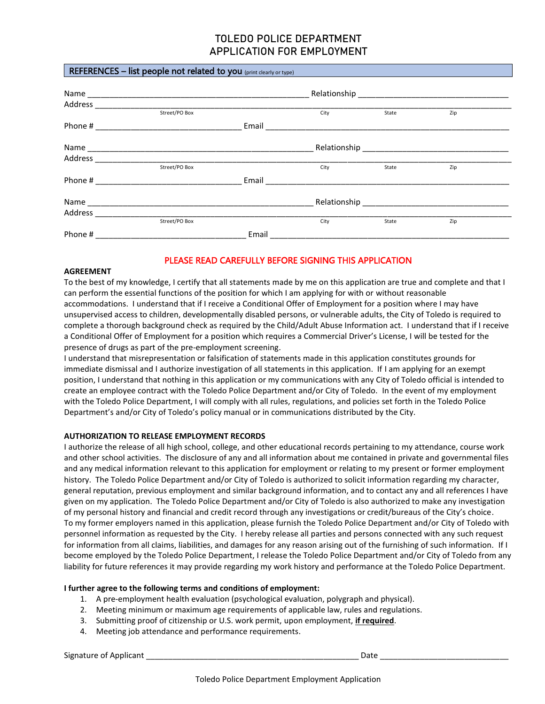#### REFERENCES – list people not related to you (print clearly or type)

| Address |               |       |              |       |     |  |
|---------|---------------|-------|--------------|-------|-----|--|
|         | Street/PO Box |       | City         | State | Zip |  |
| Phone # |               | Email |              |       |     |  |
|         |               |       | Relationship |       |     |  |
| Address |               |       |              |       |     |  |
|         | Street/PO Box |       | City         | State | Zip |  |
| Phone # |               | Email |              |       |     |  |
|         |               |       |              |       |     |  |
| Address |               |       |              |       |     |  |
|         | Street/PO Box |       | City         | State | Zip |  |
| Phone # |               | Email |              |       |     |  |

#### PLEASE READ CAREFULLY BEFORE SIGNING THIS APPLICATION

#### **AGREEMENT**

To the best of my knowledge, I certify that all statements made by me on this application are true and complete and that I can perform the essential functions of the position for which I am applying for with or without reasonable accommodations. I understand that if I receive a Conditional Offer of Employment for a position where I may have unsupervised access to children, developmentally disabled persons, or vulnerable adults, the City of Toledo is required to complete a thorough background check as required by the Child/Adult Abuse Information act. I understand that if I receive a Conditional Offer of Employment for a position which requires a Commercial Driver's License, I will be tested for the presence of drugs as part of the pre-employment screening.

I understand that misrepresentation or falsification of statements made in this application constitutes grounds for immediate dismissal and I authorize investigation of all statements in this application. If I am applying for an exempt position, I understand that nothing in this application or my communications with any City of Toledo official is intended to create an employee contract with the Toledo Police Department and/or City of Toledo. In the event of my employment with the Toledo Police Department, I will comply with all rules, regulations, and policies set forth in the Toledo Police Department's and/or City of Toledo's policy manual or in communications distributed by the City.

#### **AUTHORIZATION TO RELEASE EMPLOYMENT RECORDS**

I authorize the release of all high school, college, and other educational records pertaining to my attendance, course work and other school activities. The disclosure of any and all information about me contained in private and governmental files and any medical information relevant to this application for employment or relating to my present or former employment history. The Toledo Police Department and/or City of Toledo is authorized to solicit information regarding my character, general reputation, previous employment and similar background information, and to contact any and all references I have given on my application. The Toledo Police Department and/or City of Toledo is also authorized to make any investigation of my personal history and financial and credit record through any investigations or credit/bureaus of the City's choice. To my former employers named in this application, please furnish the Toledo Police Department and/or City of Toledo with personnel information as requested by the City. I hereby release all parties and persons connected with any such request for information from all claims, liabilities, and damages for any reason arising out of the furnishing of such information. If I become employed by the Toledo Police Department, I release the Toledo Police Department and/or City of Toledo from any liability for future references it may provide regarding my work history and performance at the Toledo Police Department.

#### **I further agree to the following terms and conditions of employment:**

- 1. A pre-employment health evaluation (psychological evaluation, polygraph and physical).
- 2. Meeting minimum or maximum age requirements of applicable law, rules and regulations.
- 3. Submitting proof of citizenship or U.S. work permit, upon employment, **if required**.
- 4. Meeting job attendance and performance requirements.

Signature of Applicant **Example 20** and  $\overline{a}$  be a set of  $\overline{b}$  and  $\overline{c}$  be  $\overline{c}$